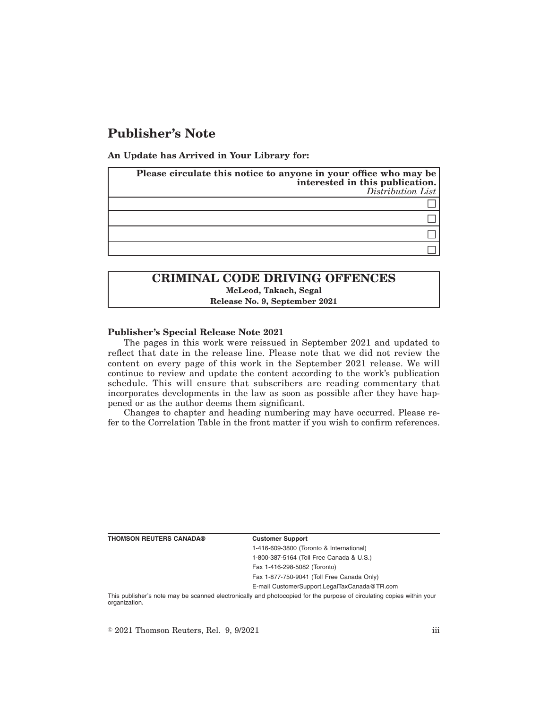# **Publisher's Note**

**An Update has Arrived in Your Library for:**

| Please circulate this notice to anyone in your office who may be<br>interested in this publication.<br>Distribution List |
|--------------------------------------------------------------------------------------------------------------------------|
|                                                                                                                          |
|                                                                                                                          |
|                                                                                                                          |
|                                                                                                                          |

## **CRIMINAL CODE DRIVING OFFENCES McLeod, Takach, Segal Release No. 9, September 2021**

### **Publisher's Special Release Note 2021**

The pages in this work were reissued in September 2021 and updated to reflect that date in the release line. Please note that we did not review the content on every page of this work in the September 2021 release. We will continue to review and update the content according to the work's publication schedule. This will ensure that subscribers are reading commentary that incorporates developments in the law as soon as possible after they have happened or as the author deems them significant.

Changes to chapter and heading numbering may have occurred. Please refer to the Correlation Table in the front matter if you wish to confirm references.

**THOMSON REUTERS CANADA® Customer Support**

1-416-609-3800 (Toronto & International) 1-800-387-5164 (Toll Free Canada & U.S.)

Fax 1-416-298-5082 (Toronto)

Fax 1-877-750-9041 (Toll Free Canada Only)

E-mail CustomerSupport.LegalTaxCanada@TR.com

This publisher's note may be scanned electronically and photocopied for the purpose of circulating copies within your organization.

 $\degree$  2021 Thomson Reuters, Rel. 9, 9/2021 iii